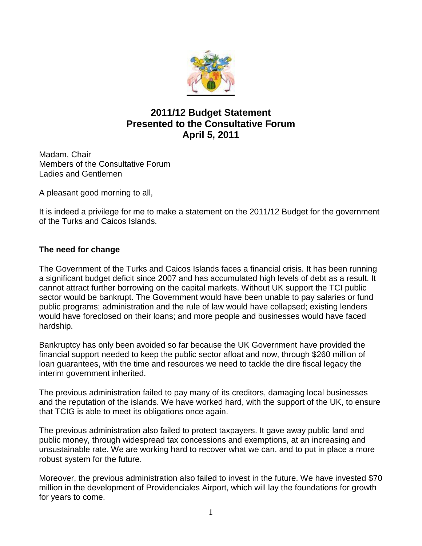

# **2011/12 Budget Statement Presented to the Consultative Forum April 5, 2011**

Madam, Chair Members of the Consultative Forum Ladies and Gentlemen

A pleasant good morning to all,

It is indeed a privilege for me to make a statement on the 2011/12 Budget for the government of the Turks and Caicos Islands.

## **The need for change**

The Government of the Turks and Caicos Islands faces a financial crisis. It has been running a significant budget deficit since 2007 and has accumulated high levels of debt as a result. It cannot attract further borrowing on the capital markets. Without UK support the TCI public sector would be bankrupt. The Government would have been unable to pay salaries or fund public programs; administration and the rule of law would have collapsed; existing lenders would have foreclosed on their loans; and more people and businesses would have faced hardship.

Bankruptcy has only been avoided so far because the UK Government have provided the financial support needed to keep the public sector afloat and now, through \$260 million of loan guarantees, with the time and resources we need to tackle the dire fiscal legacy the interim government inherited.

The previous administration failed to pay many of its creditors, damaging local businesses and the reputation of the islands. We have worked hard, with the support of the UK, to ensure that TCIG is able to meet its obligations once again.

The previous administration also failed to protect taxpayers. It gave away public land and public money, through widespread tax concessions and exemptions, at an increasing and unsustainable rate. We are working hard to recover what we can, and to put in place a more robust system for the future.

Moreover, the previous administration also failed to invest in the future. We have invested \$70 million in the development of Providenciales Airport, which will lay the foundations for growth for years to come.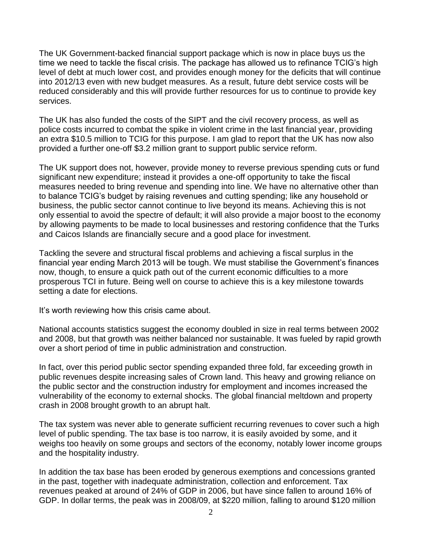The UK Government-backed financial support package which is now in place buys us the time we need to tackle the fiscal crisis. The package has allowed us to refinance TCIG's high level of debt at much lower cost, and provides enough money for the deficits that will continue into 2012/13 even with new budget measures. As a result, future debt service costs will be reduced considerably and this will provide further resources for us to continue to provide key services.

The UK has also funded the costs of the SIPT and the civil recovery process, as well as police costs incurred to combat the spike in violent crime in the last financial year, providing an extra \$10.5 million to TCIG for this purpose. I am glad to report that the UK has now also provided a further one-off \$3.2 million grant to support public service reform.

The UK support does not, however, provide money to reverse previous spending cuts or fund significant new expenditure; instead it provides a one-off opportunity to take the fiscal measures needed to bring revenue and spending into line. We have no alternative other than to balance TCIG's budget by raising revenues and cutting spending; like any household or business, the public sector cannot continue to live beyond its means. Achieving this is not only essential to avoid the spectre of default; it will also provide a major boost to the economy by allowing payments to be made to local businesses and restoring confidence that the Turks and Caicos Islands are financially secure and a good place for investment.

Tackling the severe and structural fiscal problems and achieving a fiscal surplus in the financial year ending March 2013 will be tough. We must stabilise the Government's finances now, though, to ensure a quick path out of the current economic difficulties to a more prosperous TCI in future. Being well on course to achieve this is a key milestone towards setting a date for elections.

It's worth reviewing how this crisis came about.

National accounts statistics suggest the economy doubled in size in real terms between 2002 and 2008, but that growth was neither balanced nor sustainable. It was fueled by rapid growth over a short period of time in public administration and construction.

In fact, over this period public sector spending expanded three fold, far exceeding growth in public revenues despite increasing sales of Crown land. This heavy and growing reliance on the public sector and the construction industry for employment and incomes increased the vulnerability of the economy to external shocks. The global financial meltdown and property crash in 2008 brought growth to an abrupt halt.

The tax system was never able to generate sufficient recurring revenues to cover such a high level of public spending. The tax base is too narrow, it is easily avoided by some, and it weighs too heavily on some groups and sectors of the economy, notably lower income groups and the hospitality industry.

In addition the tax base has been eroded by generous exemptions and concessions granted in the past, together with inadequate administration, collection and enforcement. Tax revenues peaked at around of 24% of GDP in 2006, but have since fallen to around 16% of GDP. In dollar terms, the peak was in 2008/09, at \$220 million, falling to around \$120 million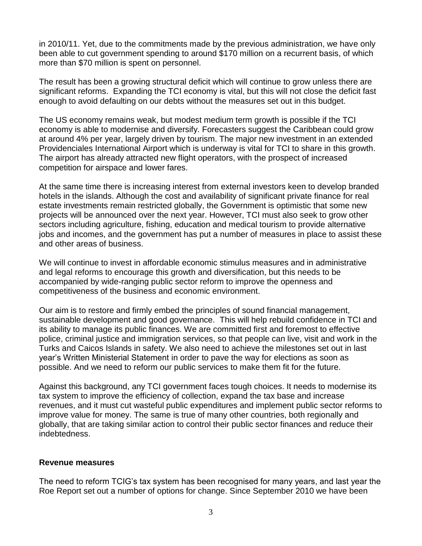in 2010/11. Yet, due to the commitments made by the previous administration, we have only been able to cut government spending to around \$170 million on a recurrent basis, of which more than \$70 million is spent on personnel.

The result has been a growing structural deficit which will continue to grow unless there are significant reforms. Expanding the TCI economy is vital, but this will not close the deficit fast enough to avoid defaulting on our debts without the measures set out in this budget.

The US economy remains weak, but modest medium term growth is possible if the TCI economy is able to modernise and diversify. Forecasters suggest the Caribbean could grow at around 4% per year, largely driven by tourism. The major new investment in an extended Providenciales International Airport which is underway is vital for TCI to share in this growth. The airport has already attracted new flight operators, with the prospect of increased competition for airspace and lower fares.

At the same time there is increasing interest from external investors keen to develop branded hotels in the islands. Although the cost and availability of significant private finance for real estate investments remain restricted globally, the Government is optimistic that some new projects will be announced over the next year. However, TCI must also seek to grow other sectors including agriculture, fishing, education and medical tourism to provide alternative jobs and incomes, and the government has put a number of measures in place to assist these and other areas of business.

We will continue to invest in affordable economic stimulus measures and in administrative and legal reforms to encourage this growth and diversification, but this needs to be accompanied by wide-ranging public sector reform to improve the openness and competitiveness of the business and economic environment.

Our aim is to restore and firmly embed the principles of sound financial management, sustainable development and good governance. This will help rebuild confidence in TCI and its ability to manage its public finances. We are committed first and foremost to effective police, criminal justice and immigration services, so that people can live, visit and work in the Turks and Caicos Islands in safety. We also need to achieve the milestones set out in last year's Written Ministerial Statement in order to pave the way for elections as soon as possible. And we need to reform our public services to make them fit for the future.

Against this background, any TCI government faces tough choices. It needs to modernise its tax system to improve the efficiency of collection, expand the tax base and increase revenues, and it must cut wasteful public expenditures and implement public sector reforms to improve value for money. The same is true of many other countries, both regionally and globally, that are taking similar action to control their public sector finances and reduce their indebtedness.

#### **Revenue measures**

The need to reform TCIG's tax system has been recognised for many years, and last year the Roe Report set out a number of options for change. Since September 2010 we have been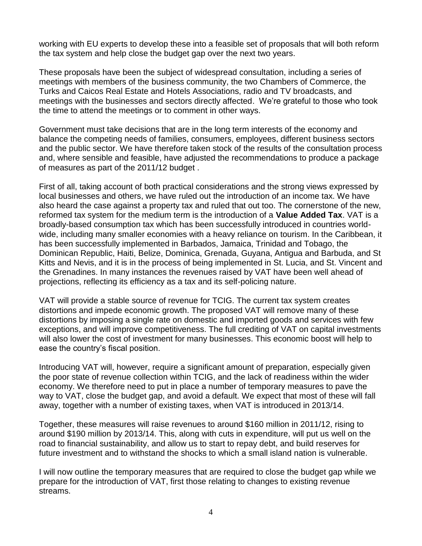working with EU experts to develop these into a feasible set of proposals that will both reform the tax system and help close the budget gap over the next two years.

These proposals have been the subject of widespread consultation, including a series of meetings with members of the business community, the two Chambers of Commerce, the Turks and Caicos Real Estate and Hotels Associations, radio and TV broadcasts, and meetings with the businesses and sectors directly affected. We're grateful to those who took the time to attend the meetings or to comment in other ways.

Government must take decisions that are in the long term interests of the economy and balance the competing needs of families, consumers, employees, different business sectors and the public sector. We have therefore taken stock of the results of the consultation process and, where sensible and feasible, have adjusted the recommendations to produce a package of measures as part of the 2011/12 budget .

First of all, taking account of both practical considerations and the strong views expressed by local businesses and others, we have ruled out the introduction of an income tax. We have also heard the case against a property tax and ruled that out too. The cornerstone of the new, reformed tax system for the medium term is the introduction of a **Value Added Tax**. VAT is a broadly-based consumption tax which has been successfully introduced in countries worldwide, including many smaller economies with a heavy reliance on tourism. In the Caribbean, it has been successfully implemented in Barbados, Jamaica, Trinidad and Tobago, the Dominican Republic, Haiti, Belize, Dominica, Grenada, Guyana, Antigua and Barbuda, and St Kitts and Nevis, and it is in the process of being implemented in St. Lucia, and St. Vincent and the Grenadines. In many instances the revenues raised by VAT have been well ahead of projections, reflecting its efficiency as a tax and its self-policing nature.

VAT will provide a stable source of revenue for TCIG. The current tax system creates distortions and impede economic growth. The proposed VAT will remove many of these distortions by imposing a single rate on domestic and imported goods and services with few exceptions, and will improve competitiveness. The full crediting of VAT on capital investments will also lower the cost of investment for many businesses. This economic boost will help to ease the country's fiscal position.

Introducing VAT will, however, require a significant amount of preparation, especially given the poor state of revenue collection within TCIG, and the lack of readiness within the wider economy. We therefore need to put in place a number of temporary measures to pave the way to VAT, close the budget gap, and avoid a default. We expect that most of these will fall away, together with a number of existing taxes, when VAT is introduced in 2013/14.

Together, these measures will raise revenues to around \$160 million in 2011/12, rising to around \$190 million by 2013/14. This, along with cuts in expenditure, will put us well on the road to financial sustainability, and allow us to start to repay debt, and build reserves for future investment and to withstand the shocks to which a small island nation is vulnerable.

I will now outline the temporary measures that are required to close the budget gap while we prepare for the introduction of VAT, first those relating to changes to existing revenue streams.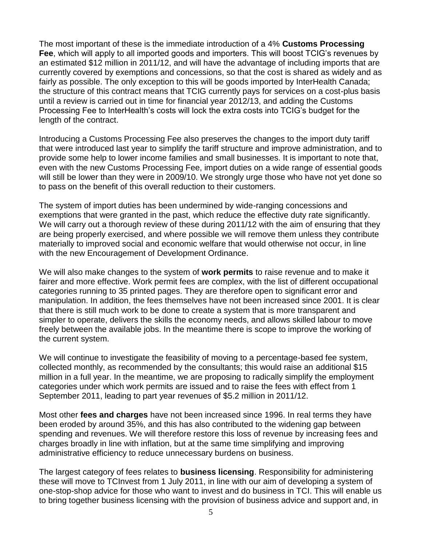The most important of these is the immediate introduction of a 4% **Customs Processing Fee**, which will apply to all imported goods and importers. This will boost TCIG's revenues by an estimated \$12 million in 2011/12, and will have the advantage of including imports that are currently covered by exemptions and concessions, so that the cost is shared as widely and as fairly as possible. The only exception to this will be goods imported by InterHealth Canada; the structure of this contract means that TCIG currently pays for services on a cost-plus basis until a review is carried out in time for financial year 2012/13, and adding the Customs Processing Fee to InterHealth's costs will lock the extra costs into TCIG's budget for the length of the contract.

Introducing a Customs Processing Fee also preserves the changes to the import duty tariff that were introduced last year to simplify the tariff structure and improve administration, and to provide some help to lower income families and small businesses. It is important to note that, even with the new Customs Processing Fee, import duties on a wide range of essential goods will still be lower than they were in 2009/10. We strongly urge those who have not yet done so to pass on the benefit of this overall reduction to their customers.

The system of import duties has been undermined by wide-ranging concessions and exemptions that were granted in the past, which reduce the effective duty rate significantly. We will carry out a thorough review of these during 2011/12 with the aim of ensuring that they are being properly exercised, and where possible we will remove them unless they contribute materially to improved social and economic welfare that would otherwise not occur, in line with the new Encouragement of Development Ordinance.

We will also make changes to the system of **work permits** to raise revenue and to make it fairer and more effective. Work permit fees are complex, with the list of different occupational categories running to 35 printed pages. They are therefore open to significant error and manipulation. In addition, the fees themselves have not been increased since 2001. It is clear that there is still much work to be done to create a system that is more transparent and simpler to operate, delivers the skills the economy needs, and allows skilled labour to move freely between the available jobs. In the meantime there is scope to improve the working of the current system.

We will continue to investigate the feasibility of moving to a percentage-based fee system, collected monthly, as recommended by the consultants; this would raise an additional \$15 million in a full year. In the meantime, we are proposing to radically simplify the employment categories under which work permits are issued and to raise the fees with effect from 1 September 2011, leading to part year revenues of \$5.2 million in 2011/12.

Most other **fees and charges** have not been increased since 1996. In real terms they have been eroded by around 35%, and this has also contributed to the widening gap between spending and revenues. We will therefore restore this loss of revenue by increasing fees and charges broadly in line with inflation, but at the same time simplifying and improving administrative efficiency to reduce unnecessary burdens on business.

The largest category of fees relates to **business licensing**. Responsibility for administering these will move to TCInvest from 1 July 2011, in line with our aim of developing a system of one-stop-shop advice for those who want to invest and do business in TCI. This will enable us to bring together business licensing with the provision of business advice and support and, in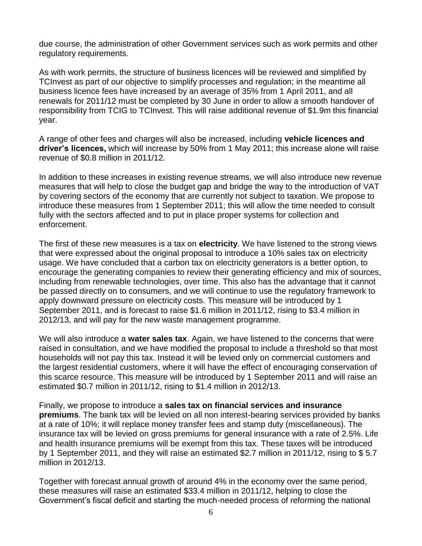due course, the administration of other Government services such as work permits and other regulatory requirements.

As with work permits, the structure of business licences will be reviewed and simplified by TCInvest as part of our objective to simplify processes and regulation; in the meantime all business licence fees have increased by an average of 35% from 1 April 2011, and all renewals for 2011/12 must be completed by 30 June in order to allow a smooth handover of responsibility from TCIG to TCInvest. This will raise additional revenue of \$1.9m this financial year.

A range of other fees and charges will also be increased, including **vehicle licences and driver's licences,** which will increase by 50% from 1 May 2011; this increase alone will raise revenue of \$0.8 million in 2011/12.

In addition to these increases in existing revenue streams, we will also introduce new revenue measures that will help to close the budget gap and bridge the way to the introduction of VAT by covering sectors of the economy that are currently not subject to taxation. We propose to introduce these measures from 1 September 2011; this will allow the time needed to consult fully with the sectors affected and to put in place proper systems for collection and enforcement.

The first of these new measures is a tax on **electricity**. We have listened to the strong views that were expressed about the original proposal to introduce a 10% sales tax on electricity usage. We have concluded that a carbon tax on electricity generators is a better option, to encourage the generating companies to review their generating efficiency and mix of sources, including from renewable technologies, over time. This also has the advantage that it cannot be passed directly on to consumers, and we will continue to use the regulatory framework to apply downward pressure on electricity costs. This measure will be introduced by 1 September 2011, and is forecast to raise \$1.6 million in 2011/12, rising to \$3.4 million in 2012/13, and will pay for the new waste management programme.

We will also introduce a **water sales tax**. Again, we have listened to the concerns that were raised in consultation, and we have modified the proposal to include a threshold so that most households will not pay this tax. Instead it will be levied only on commercial customers and the largest residential customers, where it will have the effect of encouraging conservation of this scarce resource. This measure will be introduced by 1 September 2011 and will raise an estimated \$0.7 million in 2011/12, rising to \$1.4 million in 2012/13.

Finally, we propose to introduce a **sales tax on financial services and insurance premiums**. The bank tax will be levied on all non interest-bearing services provided by banks at a rate of 10%; it will replace money transfer fees and stamp duty (miscellaneous). The insurance tax will be levied on gross premiums for general insurance with a rate of 2.5%. Life and health insurance premiums will be exempt from this tax. These taxes will be introduced by 1 September 2011, and they will raise an estimated \$2.7 million in 2011/12, rising to \$ 5.7 million in 2012/13.

Together with forecast annual growth of around 4% in the economy over the same period, these measures will raise an estimated \$33.4 million in 2011/12, helping to close the Government's fiscal deficit and starting the much-needed process of reforming the national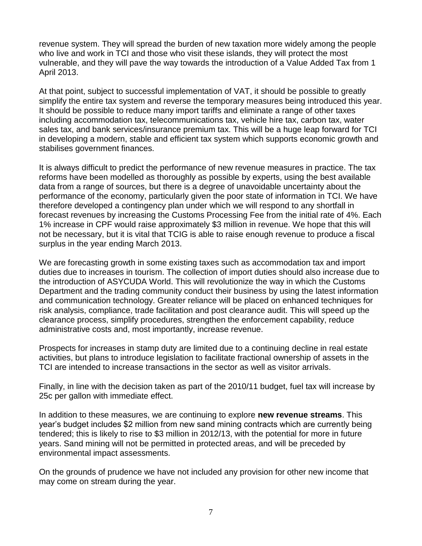revenue system. They will spread the burden of new taxation more widely among the people who live and work in TCI and those who visit these islands, they will protect the most vulnerable, and they will pave the way towards the introduction of a Value Added Tax from 1 April 2013.

At that point, subject to successful implementation of VAT, it should be possible to greatly simplify the entire tax system and reverse the temporary measures being introduced this year. It should be possible to reduce many import tariffs and eliminate a range of other taxes including accommodation tax, telecommunications tax, vehicle hire tax, carbon tax, water sales tax, and bank services/insurance premium tax. This will be a huge leap forward for TCI in developing a modern, stable and efficient tax system which supports economic growth and stabilises government finances.

It is always difficult to predict the performance of new revenue measures in practice. The tax reforms have been modelled as thoroughly as possible by experts, using the best available data from a range of sources, but there is a degree of unavoidable uncertainty about the performance of the economy, particularly given the poor state of information in TCI. We have therefore developed a contingency plan under which we will respond to any shortfall in forecast revenues by increasing the Customs Processing Fee from the initial rate of 4%. Each 1% increase in CPF would raise approximately \$3 million in revenue. We hope that this will not be necessary, but it is vital that TCIG is able to raise enough revenue to produce a fiscal surplus in the year ending March 2013.

We are forecasting growth in some existing taxes such as accommodation tax and import duties due to increases in tourism. The collection of import duties should also increase due to the introduction of ASYCUDA World. This will revolutionize the way in which the Customs Department and the trading community conduct their business by using the latest information and communication technology. Greater reliance will be placed on enhanced techniques for risk analysis, compliance, trade facilitation and post clearance audit. This will speed up the clearance process, simplify procedures, strengthen the enforcement capability, reduce administrative costs and, most importantly, increase revenue.

Prospects for increases in stamp duty are limited due to a continuing decline in real estate activities, but plans to introduce legislation to facilitate fractional ownership of assets in the TCI are intended to increase transactions in the sector as well as visitor arrivals.

Finally, in line with the decision taken as part of the 2010/11 budget, fuel tax will increase by 25c per gallon with immediate effect.

In addition to these measures, we are continuing to explore **new revenue streams**. This year's budget includes \$2 million from new sand mining contracts which are currently being tendered; this is likely to rise to \$3 million in 2012/13, with the potential for more in future years. Sand mining will not be permitted in protected areas, and will be preceded by environmental impact assessments.

On the grounds of prudence we have not included any provision for other new income that may come on stream during the year.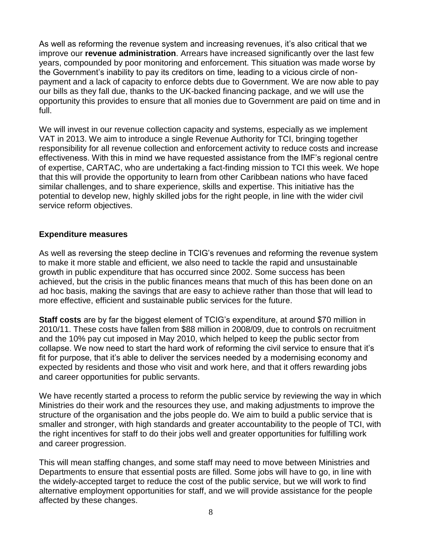As well as reforming the revenue system and increasing revenues, it's also critical that we improve our **revenue administration**. Arrears have increased significantly over the last few years, compounded by poor monitoring and enforcement. This situation was made worse by the Government's inability to pay its creditors on time, leading to a vicious circle of nonpayment and a lack of capacity to enforce debts due to Government. We are now able to pay our bills as they fall due, thanks to the UK-backed financing package, and we will use the opportunity this provides to ensure that all monies due to Government are paid on time and in full.

We will invest in our revenue collection capacity and systems, especially as we implement VAT in 2013. We aim to introduce a single Revenue Authority for TCI, bringing together responsibility for all revenue collection and enforcement activity to reduce costs and increase effectiveness. With this in mind we have requested assistance from the IMF's regional centre of expertise, CARTAC, who are undertaking a fact-finding mission to TCI this week. We hope that this will provide the opportunity to learn from other Caribbean nations who have faced similar challenges, and to share experience, skills and expertise. This initiative has the potential to develop new, highly skilled jobs for the right people, in line with the wider civil service reform objectives.

#### **Expenditure measures**

As well as reversing the steep decline in TCIG's revenues and reforming the revenue system to make it more stable and efficient, we also need to tackle the rapid and unsustainable growth in public expenditure that has occurred since 2002. Some success has been achieved, but the crisis in the public finances means that much of this has been done on an ad hoc basis, making the savings that are easy to achieve rather than those that will lead to more effective, efficient and sustainable public services for the future.

**Staff costs** are by far the biggest element of TCIG's expenditure, at around \$70 million in 2010/11. These costs have fallen from \$88 million in 2008/09, due to controls on recruitment and the 10% pay cut imposed in May 2010, which helped to keep the public sector from collapse. We now need to start the hard work of reforming the civil service to ensure that it's fit for purpose, that it's able to deliver the services needed by a modernising economy and expected by residents and those who visit and work here, and that it offers rewarding jobs and career opportunities for public servants.

We have recently started a process to reform the public service by reviewing the way in which Ministries do their work and the resources they use, and making adjustments to improve the structure of the organisation and the jobs people do. We aim to build a public service that is smaller and stronger, with high standards and greater accountability to the people of TCI, with the right incentives for staff to do their jobs well and greater opportunities for fulfilling work and career progression.

This will mean staffing changes, and some staff may need to move between Ministries and Departments to ensure that essential posts are filled. Some jobs will have to go, in line with the widely-accepted target to reduce the cost of the public service, but we will work to find alternative employment opportunities for staff, and we will provide assistance for the people affected by these changes.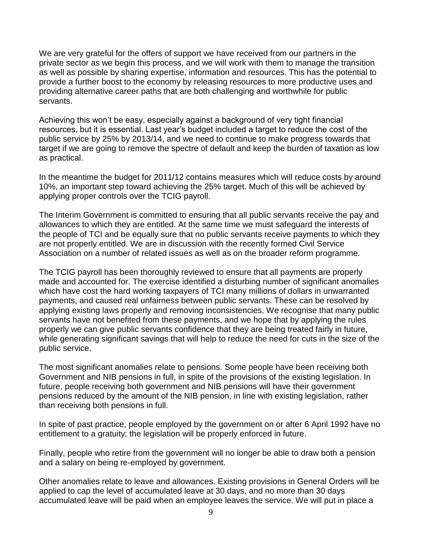We are very grateful for the offers of support we have received from our partners in the private sector as we begin this process, and we will work with them to manage the transition as well as possible by sharing expertise, information and resources. This has the potential to provide a further boost to the economy by releasing resources to more productive uses and providing alternative career paths that are both challenging and worthwhile for public servants.

Achieving this won't be easy, especially against a background of very tight financial resources, but it is essential. Last year's budget included a target to reduce the cost of the public service by 25% by 2013/14, and we need to continue to make progress towards that target if we are going to remove the spectre of default and keep the burden of taxation as low as practical.

In the meantime the budget for 2011/12 contains measures which will reduce costs by around 10%, an important step toward achieving the 25% target. Much of this will be achieved by applying proper controls over the TCIG payroll.

The Interim Government is committed to ensuring that all public servants receive the pay and allowances to which they are entitled. At the same time we must safeguard the interests of the people of TCI and be equally sure that no public servants receive payments to which they are not properly entitled. We are in discussion with the recently formed Civil Service Association on a number of related issues as well as on the broader reform programme.

The TCIG payroll has been thoroughly reviewed to ensure that all payments are properly made and accounted for. The exercise identified a disturbing number of significant anomalies which have cost the hard working taxpayers of TCI many millions of dollars in unwarranted payments, and caused real unfairness between public servants. These can be resolved by applying existing laws properly and removing inconsistencies. We recognise that many public servants have not benefited from these payments, and we hope that by applying the rules properly we can give public servants confidence that they are being treated fairly in future, while generating significant savings that will help to reduce the need for cuts in the size of the public service.

The most significant anomalies relate to pensions. Some people have been receiving both Government and NIB pensions in full, in spite of the provisions of the existing legislation. In future, people receiving both government and NIB pensions will have their government pensions reduced by the amount of the NIB pension, in line with existing legislation, rather than receiving both pensions in full.

In spite of past practice, people employed by the government on or after 6 April 1992 have no entitlement to a gratuity; the legislation will be properly enforced in future.

Finally, people who retire from the government will no longer be able to draw both a pension and a salary on being re-employed by government.

Other anomalies relate to leave and allowances. Existing provisions in General Orders will be applied to cap the level of accumulated leave at 30 days, and no more than 30 days accumulated leave will be paid when an employee leaves the service. We will put in place a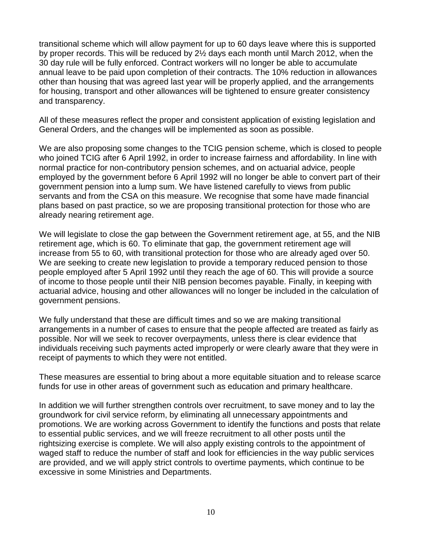transitional scheme which will allow payment for up to 60 days leave where this is supported by proper records. This will be reduced by 2½ days each month until March 2012, when the 30 day rule will be fully enforced. Contract workers will no longer be able to accumulate annual leave to be paid upon completion of their contracts. The 10% reduction in allowances other than housing that was agreed last year will be properly applied, and the arrangements for housing, transport and other allowances will be tightened to ensure greater consistency and transparency.

All of these measures reflect the proper and consistent application of existing legislation and General Orders, and the changes will be implemented as soon as possible.

We are also proposing some changes to the TCIG pension scheme, which is closed to people who joined TCIG after 6 April 1992, in order to increase fairness and affordability. In line with normal practice for non-contributory pension schemes, and on actuarial advice, people employed by the government before 6 April 1992 will no longer be able to convert part of their government pension into a lump sum. We have listened carefully to views from public servants and from the CSA on this measure. We recognise that some have made financial plans based on past practice, so we are proposing transitional protection for those who are already nearing retirement age.

We will legislate to close the gap between the Government retirement age, at 55, and the NIB retirement age, which is 60. To eliminate that gap, the government retirement age will increase from 55 to 60, with transitional protection for those who are already aged over 50. We are seeking to create new legislation to provide a temporary reduced pension to those people employed after 5 April 1992 until they reach the age of 60. This will provide a source of income to those people until their NIB pension becomes payable. Finally, in keeping with actuarial advice, housing and other allowances will no longer be included in the calculation of government pensions.

We fully understand that these are difficult times and so we are making transitional arrangements in a number of cases to ensure that the people affected are treated as fairly as possible. Nor will we seek to recover overpayments, unless there is clear evidence that individuals receiving such payments acted improperly or were clearly aware that they were in receipt of payments to which they were not entitled.

These measures are essential to bring about a more equitable situation and to release scarce funds for use in other areas of government such as education and primary healthcare.

In addition we will further strengthen controls over recruitment, to save money and to lay the groundwork for civil service reform, by eliminating all unnecessary appointments and promotions. We are working across Government to identify the functions and posts that relate to essential public services, and we will freeze recruitment to all other posts until the rightsizing exercise is complete. We will also apply existing controls to the appointment of waged staff to reduce the number of staff and look for efficiencies in the way public services are provided, and we will apply strict controls to overtime payments, which continue to be excessive in some Ministries and Departments.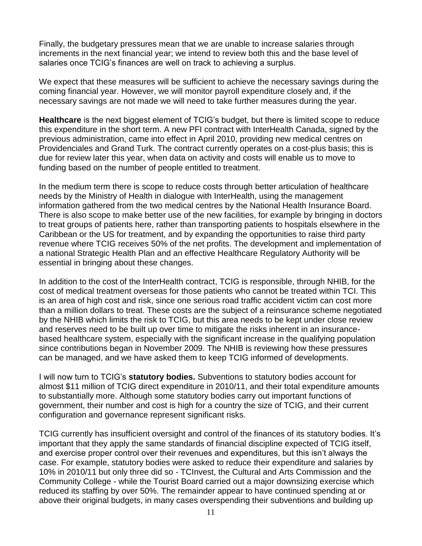Finally, the budgetary pressures mean that we are unable to increase salaries through increments in the next financial year; we intend to review both this and the base level of salaries once TCIG's finances are well on track to achieving a surplus.

We expect that these measures will be sufficient to achieve the necessary savings during the coming financial year. However, we will monitor payroll expenditure closely and, if the necessary savings are not made we will need to take further measures during the year.

**Healthcare** is the next biggest element of TCIG's budget, but there is limited scope to reduce this expenditure in the short term. A new PFI contract with InterHealth Canada, signed by the previous administration, came into effect in April 2010, providing new medical centres on Providenciales and Grand Turk. The contract currently operates on a cost-plus basis; this is due for review later this year, when data on activity and costs will enable us to move to funding based on the number of people entitled to treatment.

In the medium term there is scope to reduce costs through better articulation of healthcare needs by the Ministry of Health in dialogue with InterHealth, using the management information gathered from the two medical centres by the National Health Insurance Board. There is also scope to make better use of the new facilities, for example by bringing in doctors to treat groups of patients here, rather than transporting patients to hospitals elsewhere in the Caribbean or the US for treatment, and by expanding the opportunities to raise third party revenue where TCIG receives 50% of the net profits. The development and implementation of a national Strategic Health Plan and an effective Healthcare Regulatory Authority will be essential in bringing about these changes.

In addition to the cost of the InterHealth contract, TCIG is responsible, through NHIB, for the cost of medical treatment overseas for those patients who cannot be treated within TCI. This is an area of high cost and risk, since one serious road traffic accident victim can cost more than a million dollars to treat. These costs are the subject of a reinsurance scheme negotiated by the NHIB which limits the risk to TCIG, but this area needs to be kept under close review and reserves need to be built up over time to mitigate the risks inherent in an insurancebased healthcare system, especially with the significant increase in the qualifying population since contributions began in November 2009. The NHIB is reviewing how these pressures can be managed, and we have asked them to keep TCIG informed of developments.

I will now turn to TCIG's **statutory bodies.** Subventions to statutory bodies account for almost \$11 million of TCIG direct expenditure in 2010/11, and their total expenditure amounts to substantially more. Although some statutory bodies carry out important functions of government, their number and cost is high for a country the size of TCIG, and their current configuration and governance represent significant risks.

TCIG currently has insufficient oversight and control of the finances of its statutory bodies. It's important that they apply the same standards of financial discipline expected of TCIG itself, and exercise proper control over their revenues and expenditures, but this isn't always the case. For example, statutory bodies were asked to reduce their expenditure and salaries by 10% in 2010/11 but only three did so - TCInvest, the Cultural and Arts Commission and the Community College - while the Tourist Board carried out a major downsizing exercise which reduced its staffing by over 50%. The remainder appear to have continued spending at or above their original budgets, in many cases overspending their subventions and building up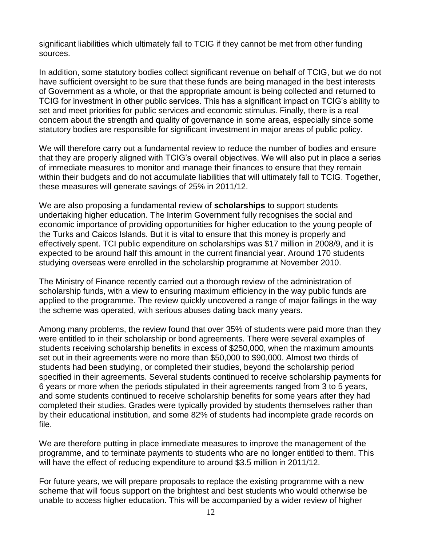significant liabilities which ultimately fall to TCIG if they cannot be met from other funding sources.

In addition, some statutory bodies collect significant revenue on behalf of TCIG, but we do not have sufficient oversight to be sure that these funds are being managed in the best interests of Government as a whole, or that the appropriate amount is being collected and returned to TCIG for investment in other public services. This has a significant impact on TCIG's ability to set and meet priorities for public services and economic stimulus. Finally, there is a real concern about the strength and quality of governance in some areas, especially since some statutory bodies are responsible for significant investment in major areas of public policy.

We will therefore carry out a fundamental review to reduce the number of bodies and ensure that they are properly aligned with TCIG's overall objectives. We will also put in place a series of immediate measures to monitor and manage their finances to ensure that they remain within their budgets and do not accumulate liabilities that will ultimately fall to TCIG. Together, these measures will generate savings of 25% in 2011/12.

We are also proposing a fundamental review of **scholarships** to support students undertaking higher education. The Interim Government fully recognises the social and economic importance of providing opportunities for higher education to the young people of the Turks and Caicos Islands. But it is vital to ensure that this money is properly and effectively spent. TCI public expenditure on scholarships was \$17 million in 2008/9, and it is expected to be around half this amount in the current financial year. Around 170 students studying overseas were enrolled in the scholarship programme at November 2010.

The Ministry of Finance recently carried out a thorough review of the administration of scholarship funds, with a view to ensuring maximum efficiency in the way public funds are applied to the programme. The review quickly uncovered a range of major failings in the way the scheme was operated, with serious abuses dating back many years.

Among many problems, the review found that over 35% of students were paid more than they were entitled to in their scholarship or bond agreements. There were several examples of students receiving scholarship benefits in excess of \$250,000, when the maximum amounts set out in their agreements were no more than \$50,000 to \$90,000. Almost two thirds of students had been studying, or completed their studies, beyond the scholarship period specified in their agreements. Several students continued to receive scholarship payments for 6 years or more when the periods stipulated in their agreements ranged from 3 to 5 years, and some students continued to receive scholarship benefits for some years after they had completed their studies. Grades were typically provided by students themselves rather than by their educational institution, and some 82% of students had incomplete grade records on file.

We are therefore putting in place immediate measures to improve the management of the programme, and to terminate payments to students who are no longer entitled to them. This will have the effect of reducing expenditure to around \$3.5 million in 2011/12.

For future years, we will prepare proposals to replace the existing programme with a new scheme that will focus support on the brightest and best students who would otherwise be unable to access higher education. This will be accompanied by a wider review of higher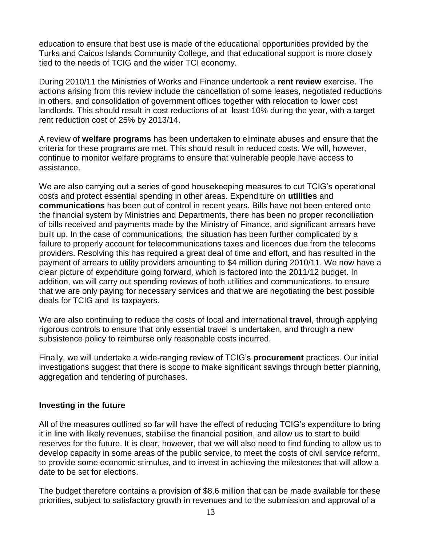education to ensure that best use is made of the educational opportunities provided by the Turks and Caicos Islands Community College, and that educational support is more closely tied to the needs of TCIG and the wider TCI economy.

During 2010/11 the Ministries of Works and Finance undertook a **rent review** exercise. The actions arising from this review include the cancellation of some leases, negotiated reductions in others, and consolidation of government offices together with relocation to lower cost landlords. This should result in cost reductions of at least 10% during the year, with a target rent reduction cost of 25% by 2013/14.

A review of **welfare programs** has been undertaken to eliminate abuses and ensure that the criteria for these programs are met. This should result in reduced costs. We will, however, continue to monitor welfare programs to ensure that vulnerable people have access to assistance.

We are also carrying out a series of good housekeeping measures to cut TCIG's operational costs and protect essential spending in other areas. Expenditure on **utilities** and **communications** has been out of control in recent years. Bills have not been entered onto the financial system by Ministries and Departments, there has been no proper reconciliation of bills received and payments made by the Ministry of Finance, and significant arrears have built up. In the case of communications, the situation has been further complicated by a failure to properly account for telecommunications taxes and licences due from the telecoms providers. Resolving this has required a great deal of time and effort, and has resulted in the payment of arrears to utility providers amounting to \$4 million during 2010/11. We now have a clear picture of expenditure going forward, which is factored into the 2011/12 budget. In addition, we will carry out spending reviews of both utilities and communications, to ensure that we are only paying for necessary services and that we are negotiating the best possible deals for TCIG and its taxpayers.

We are also continuing to reduce the costs of local and international **travel**, through applying rigorous controls to ensure that only essential travel is undertaken, and through a new subsistence policy to reimburse only reasonable costs incurred.

Finally, we will undertake a wide-ranging review of TCIG's **procurement** practices. Our initial investigations suggest that there is scope to make significant savings through better planning, aggregation and tendering of purchases.

#### **Investing in the future**

All of the measures outlined so far will have the effect of reducing TCIG's expenditure to bring it in line with likely revenues, stabilise the financial position, and allow us to start to build reserves for the future. It is clear, however, that we will also need to find funding to allow us to develop capacity in some areas of the public service, to meet the costs of civil service reform, to provide some economic stimulus, and to invest in achieving the milestones that will allow a date to be set for elections.

The budget therefore contains a provision of \$8.6 million that can be made available for these priorities, subject to satisfactory growth in revenues and to the submission and approval of a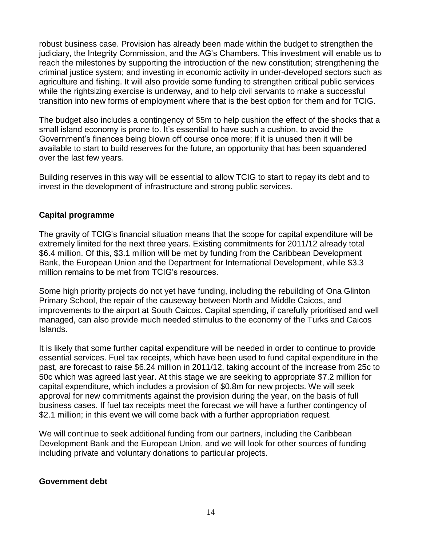robust business case. Provision has already been made within the budget to strengthen the judiciary, the Integrity Commission, and the AG's Chambers. This investment will enable us to reach the milestones by supporting the introduction of the new constitution; strengthening the criminal justice system; and investing in economic activity in under-developed sectors such as agriculture and fishing. It will also provide some funding to strengthen critical public services while the rightsizing exercise is underway, and to help civil servants to make a successful transition into new forms of employment where that is the best option for them and for TCIG.

The budget also includes a contingency of \$5m to help cushion the effect of the shocks that a small island economy is prone to. It's essential to have such a cushion, to avoid the Government's finances being blown off course once more; if it is unused then it will be available to start to build reserves for the future, an opportunity that has been squandered over the last few years.

Building reserves in this way will be essential to allow TCIG to start to repay its debt and to invest in the development of infrastructure and strong public services.

## **Capital programme**

The gravity of TCIG's financial situation means that the scope for capital expenditure will be extremely limited for the next three years. Existing commitments for 2011/12 already total \$6.4 million. Of this, \$3.1 million will be met by funding from the Caribbean Development Bank, the European Union and the Department for International Development, while \$3.3 million remains to be met from TCIG's resources.

Some high priority projects do not yet have funding, including the rebuilding of Ona Glinton Primary School, the repair of the causeway between North and Middle Caicos, and improvements to the airport at South Caicos. Capital spending, if carefully prioritised and well managed, can also provide much needed stimulus to the economy of the Turks and Caicos Islands.

It is likely that some further capital expenditure will be needed in order to continue to provide essential services. Fuel tax receipts, which have been used to fund capital expenditure in the past, are forecast to raise \$6.24 million in 2011/12, taking account of the increase from 25c to 50c which was agreed last year. At this stage we are seeking to appropriate \$7.2 million for capital expenditure, which includes a provision of \$0.8m for new projects. We will seek approval for new commitments against the provision during the year, on the basis of full business cases. If fuel tax receipts meet the forecast we will have a further contingency of \$2.1 million; in this event we will come back with a further appropriation request.

We will continue to seek additional funding from our partners, including the Caribbean Development Bank and the European Union, and we will look for other sources of funding including private and voluntary donations to particular projects.

#### **Government debt**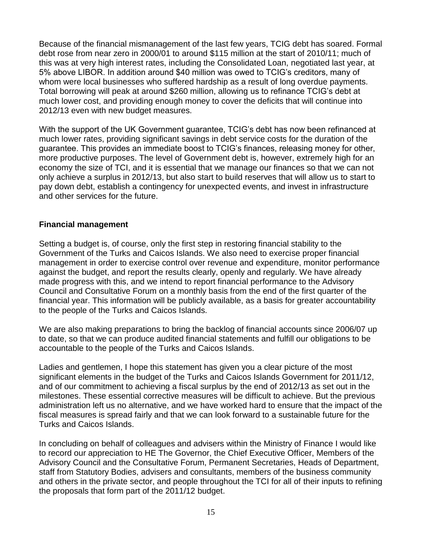Because of the financial mismanagement of the last few years, TCIG debt has soared. Formal debt rose from near zero in 2000/01 to around \$115 million at the start of 2010/11; much of this was at very high interest rates, including the Consolidated Loan, negotiated last year, at 5% above LIBOR. In addition around \$40 million was owed to TCIG's creditors, many of whom were local businesses who suffered hardship as a result of long overdue payments. Total borrowing will peak at around \$260 million, allowing us to refinance TCIG's debt at much lower cost, and providing enough money to cover the deficits that will continue into 2012/13 even with new budget measures.

With the support of the UK Government guarantee, TCIG's debt has now been refinanced at much lower rates, providing significant savings in debt service costs for the duration of the guarantee. This provides an immediate boost to TCIG's finances, releasing money for other, more productive purposes. The level of Government debt is, however, extremely high for an economy the size of TCI, and it is essential that we manage our finances so that we can not only achieve a surplus in 2012/13, but also start to build reserves that will allow us to start to pay down debt, establish a contingency for unexpected events, and invest in infrastructure and other services for the future.

### **Financial management**

Setting a budget is, of course, only the first step in restoring financial stability to the Government of the Turks and Caicos Islands. We also need to exercise proper financial management in order to exercise control over revenue and expenditure, monitor performance against the budget, and report the results clearly, openly and regularly. We have already made progress with this, and we intend to report financial performance to the Advisory Council and Consultative Forum on a monthly basis from the end of the first quarter of the financial year. This information will be publicly available, as a basis for greater accountability to the people of the Turks and Caicos Islands.

We are also making preparations to bring the backlog of financial accounts since 2006/07 up to date, so that we can produce audited financial statements and fulfill our obligations to be accountable to the people of the Turks and Caicos Islands.

Ladies and gentlemen, I hope this statement has given you a clear picture of the most significant elements in the budget of the Turks and Caicos Islands Government for 2011/12, and of our commitment to achieving a fiscal surplus by the end of 2012/13 as set out in the milestones. These essential corrective measures will be difficult to achieve. But the previous administration left us no alternative, and we have worked hard to ensure that the impact of the fiscal measures is spread fairly and that we can look forward to a sustainable future for the Turks and Caicos Islands.

In concluding on behalf of colleagues and advisers within the Ministry of Finance I would like to record our appreciation to HE The Governor, the Chief Executive Officer, Members of the Advisory Council and the Consultative Forum, Permanent Secretaries, Heads of Department, staff from Statutory Bodies, advisers and consultants, members of the business community and others in the private sector, and people throughout the TCI for all of their inputs to refining the proposals that form part of the 2011/12 budget.